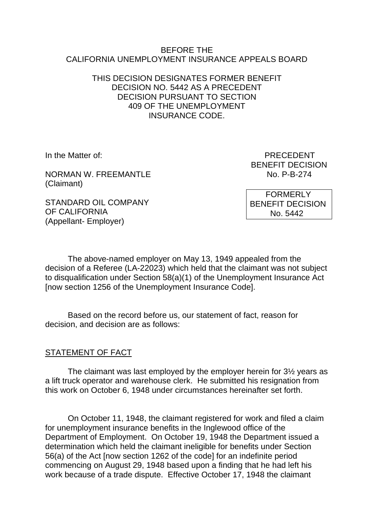#### BEFORE THE CALIFORNIA UNEMPLOYMENT INSURANCE APPEALS BOARD

### THIS DECISION DESIGNATES FORMER BENEFIT DECISION NO. 5442 AS A PRECEDENT DECISION PURSUANT TO SECTION 409 OF THE UNEMPLOYMENT INSURANCE CODE.

NORMAN W. FREEMANTLE NO. 2016 No. P-B-274 (Claimant)

STANDARD OIL COMPANY OF CALIFORNIA (Appellant- Employer)

In the Matter of: **PRECEDENT** BENEFIT DECISION

> **FORMERLY** BENEFIT DECISION No. 5442

The above-named employer on May 13, 1949 appealed from the decision of a Referee (LA-22023) which held that the claimant was not subject to disqualification under Section 58(a)(1) of the Unemployment Insurance Act [now section 1256 of the Unemployment Insurance Code].

Based on the record before us, our statement of fact, reason for decision, and decision are as follows:

#### STATEMENT OF FACT

The claimant was last employed by the employer herein for 3½ years as a lift truck operator and warehouse clerk. He submitted his resignation from this work on October 6, 1948 under circumstances hereinafter set forth.

On October 11, 1948, the claimant registered for work and filed a claim for unemployment insurance benefits in the Inglewood office of the Department of Employment. On October 19, 1948 the Department issued a determination which held the claimant ineligible for benefits under Section 56(a) of the Act [now section 1262 of the code] for an indefinite period commencing on August 29, 1948 based upon a finding that he had left his work because of a trade dispute. Effective October 17, 1948 the claimant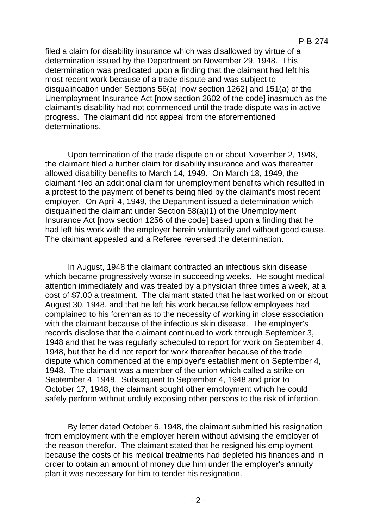filed a claim for disability insurance which was disallowed by virtue of a determination issued by the Department on November 29, 1948. This determination was predicated upon a finding that the claimant had left his most recent work because of a trade dispute and was subject to disqualification under Sections 56(a) [now section 1262] and 151(a) of the Unemployment Insurance Act [now section 2602 of the code] inasmuch as the claimant's disability had not commenced until the trade dispute was in active progress. The claimant did not appeal from the aforementioned determinations.

Upon termination of the trade dispute on or about November 2, 1948, the claimant filed a further claim for disability insurance and was thereafter allowed disability benefits to March 14, 1949. On March 18, 1949, the claimant filed an additional claim for unemployment benefits which resulted in a protest to the payment of benefits being filed by the claimant's most recent employer. On April 4, 1949, the Department issued a determination which disqualified the claimant under Section 58(a)(1) of the Unemployment Insurance Act [now section 1256 of the code] based upon a finding that he had left his work with the employer herein voluntarily and without good cause. The claimant appealed and a Referee reversed the determination.

In August, 1948 the claimant contracted an infectious skin disease which became progressively worse in succeeding weeks. He sought medical attention immediately and was treated by a physician three times a week, at a cost of \$7.00 a treatment. The claimant stated that he last worked on or about August 30, 1948, and that he left his work because fellow employees had complained to his foreman as to the necessity of working in close association with the claimant because of the infectious skin disease. The employer's records disclose that the claimant continued to work through September 3, 1948 and that he was regularly scheduled to report for work on September 4, 1948, but that he did not report for work thereafter because of the trade dispute which commenced at the employer's establishment on September 4, 1948. The claimant was a member of the union which called a strike on September 4, 1948. Subsequent to September 4, 1948 and prior to October 17, 1948, the claimant sought other employment which he could safely perform without unduly exposing other persons to the risk of infection.

By letter dated October 6, 1948, the claimant submitted his resignation from employment with the employer herein without advising the employer of the reason therefor. The claimant stated that he resigned his employment because the costs of his medical treatments had depleted his finances and in order to obtain an amount of money due him under the employer's annuity plan it was necessary for him to tender his resignation.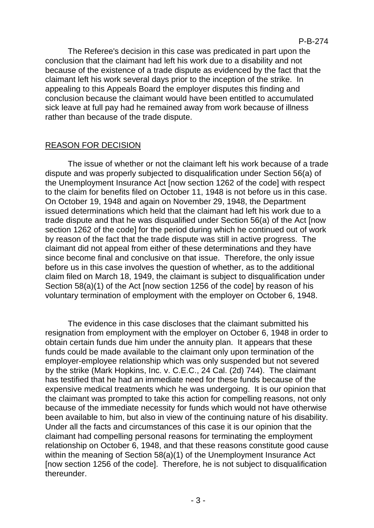The Referee's decision in this case was predicated in part upon the conclusion that the claimant had left his work due to a disability and not because of the existence of a trade dispute as evidenced by the fact that the claimant left his work several days prior to the inception of the strike. In appealing to this Appeals Board the employer disputes this finding and conclusion because the claimant would have been entitled to accumulated sick leave at full pay had he remained away from work because of illness rather than because of the trade dispute.

# REASON FOR DECISION

The issue of whether or not the claimant left his work because of a trade dispute and was properly subjected to disqualification under Section 56(a) of the Unemployment Insurance Act [now section 1262 of the code] with respect to the claim for benefits filed on October 11, 1948 is not before us in this case. On October 19, 1948 and again on November 29, 1948, the Department issued determinations which held that the claimant had left his work due to a trade dispute and that he was disqualified under Section 56(a) of the Act [now section 1262 of the code] for the period during which he continued out of work by reason of the fact that the trade dispute was still in active progress. The claimant did not appeal from either of these determinations and they have since become final and conclusive on that issue. Therefore, the only issue before us in this case involves the question of whether, as to the additional claim filed on March 18, 1949, the claimant is subject to disqualification under Section 58(a)(1) of the Act [now section 1256 of the code] by reason of his voluntary termination of employment with the employer on October 6, 1948.

The evidence in this case discloses that the claimant submitted his resignation from employment with the employer on October 6, 1948 in order to obtain certain funds due him under the annuity plan. It appears that these funds could be made available to the claimant only upon termination of the employer-employee relationship which was only suspended but not severed by the strike (Mark Hopkins, Inc. v. C.E.C., 24 Cal. (2d) 744). The claimant has testified that he had an immediate need for these funds because of the expensive medical treatments which he was undergoing. It is our opinion that the claimant was prompted to take this action for compelling reasons, not only because of the immediate necessity for funds which would not have otherwise been available to him, but also in view of the continuing nature of his disability. Under all the facts and circumstances of this case it is our opinion that the claimant had compelling personal reasons for terminating the employment relationship on October 6, 1948, and that these reasons constitute good cause within the meaning of Section 58(a)(1) of the Unemployment Insurance Act [now section 1256 of the code]. Therefore, he is not subject to disqualification thereunder.